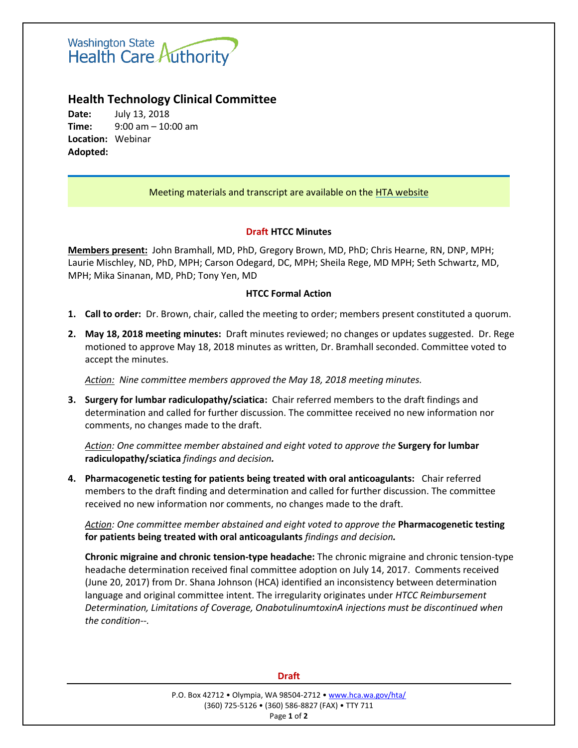

# **Health Technology Clinical Committee**

**Date:** July 13, 2018 **Time:** 9:00 am – 10:00 am **Location:** Webinar **Adopted:**

## Meeting materials and transcript are available on the [HTA website](http://www.hca.wa.gov/about-hca/health-technology-assessment/meetings-and-materials)

### **Draft HTCC Minutes**

**Members present:** John Bramhall, MD, PhD, Gregory Brown, MD, PhD; Chris Hearne, RN, DNP, MPH; Laurie Mischley, ND, PhD, MPH; Carson Odegard, DC, MPH; Sheila Rege, MD MPH; Seth Schwartz, MD, MPH; Mika Sinanan, MD, PhD; Tony Yen, MD

### **HTCC Formal Action**

- **1. Call to order:** Dr. Brown, chair, called the meeting to order; members present constituted a quorum.
- **2. May 18, 2018 meeting minutes:** Draft minutes reviewed; no changes or updates suggested. Dr. Rege motioned to approve May 18, 2018 minutes as written, Dr. Bramhall seconded. Committee voted to accept the minutes.

*Action: Nine committee members approved the May 18, 2018 meeting minutes.*

**3. Surgery for lumbar radiculopathy/sciatica:** Chair referred members to the draft findings and determination and called for further discussion. The committee received no new information nor comments, no changes made to the draft.

*Action: One committee member abstained and eight voted to approve the* **Surgery for lumbar radiculopathy/sciatica** *findings and decision.*

**4. Pharmacogenetic testing for patients being treated with oral anticoagulants:** Chair referred members to the draft finding and determination and called for further discussion. The committee received no new information nor comments, no changes made to the draft.

*Action: One committee member abstained and eight voted to approve the* **Pharmacogenetic testing for patients being treated with oral anticoagulants** *findings and decision.*

**Chronic migraine and chronic tension-type headache:** The chronic migraine and chronic tension-type headache determination received final committee adoption on July 14, 2017. Comments received (June 20, 2017) from Dr. Shana Johnson (HCA) identified an inconsistency between determination language and original committee intent. The irregularity originates under *HTCC Reimbursement Determination, Limitations of Coverage, OnabotulinumtoxinA injections must be discontinued when the condition--.*

#### **Draft**